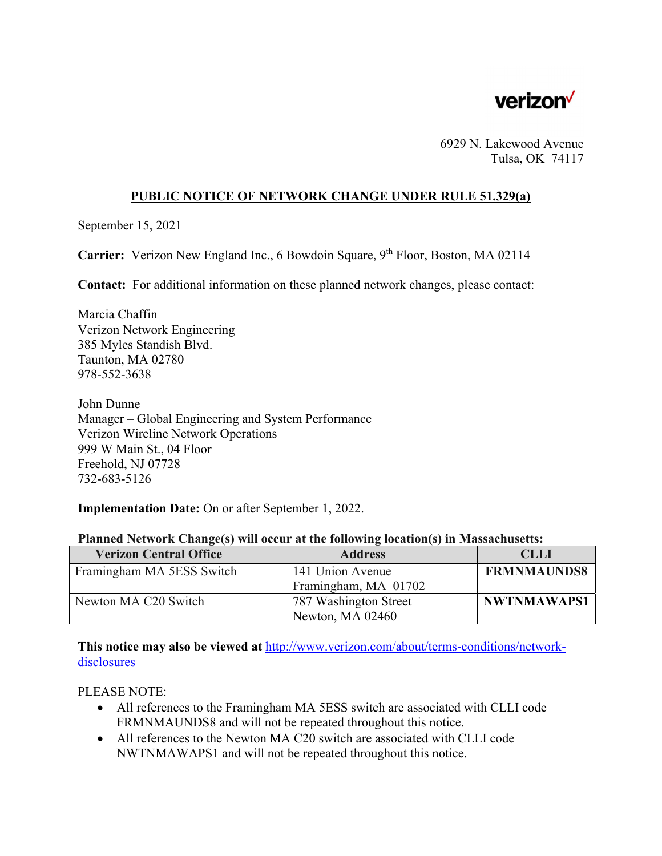

6929 N. Lakewood Avenue Tulsa, OK 74117

## **PUBLIC NOTICE OF NETWORK CHANGE UNDER RULE 51.329(a)**

September 15, 2021

**Carrier:** Verizon New England Inc., 6 Bowdoin Square, 9<sup>th</sup> Floor, Boston, MA 02114

**Contact:** For additional information on these planned network changes, please contact:

Marcia Chaffin Verizon Network Engineering 385 Myles Standish Blvd. Taunton, MA 02780 978-552-3638

John Dunne Manager – Global Engineering and System Performance Verizon Wireline Network Operations 999 W Main St., 04 Floor Freehold, NJ 07728 732-683-5126

**Implementation Date:** On or after September 1, 2022.

| <b>Verizon Central Office</b> | <b>Address</b>        | <b>CLLI</b>        |
|-------------------------------|-----------------------|--------------------|
| Framingham MA 5ESS Switch     | 141 Union Avenue      | <b>FRMNMAUNDS8</b> |
|                               | Framingham, MA 01702  |                    |
| Newton MA C20 Switch          | 787 Washington Street | NWTNMAWAPS1        |
|                               | Newton, MA 02460      |                    |

## **Planned Network Change(s) will occur at the following location(s) in Massachusetts:**

**This notice may also be viewed at** http://www.verizon.com/about/terms-conditions/networkdisclosures

PLEASE NOTE:

- All references to the Framingham MA 5ESS switch are associated with CLLI code FRMNMAUNDS8 and will not be repeated throughout this notice.
- All references to the Newton MA C20 switch are associated with CLLI code NWTNMAWAPS1 and will not be repeated throughout this notice.